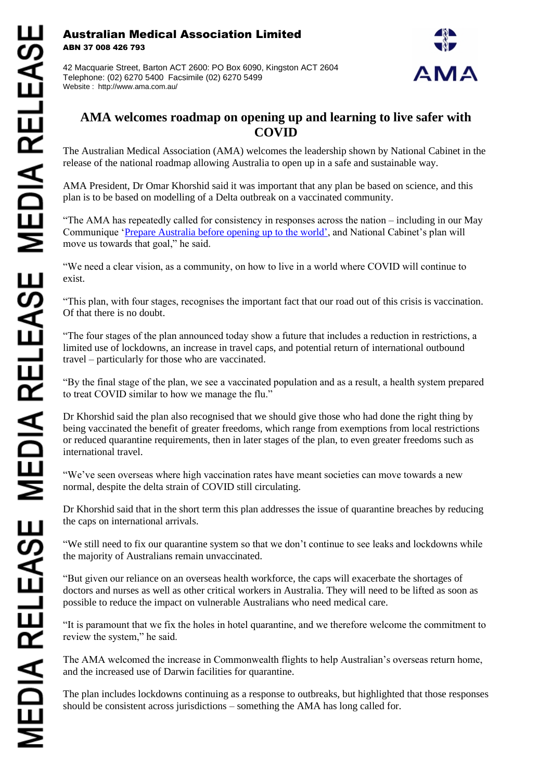Australian Medical Association Limited ABN 37 008 426 793

42 Macquarie Street, Barton ACT 2600: PO Box 6090, Kingston ACT 2604 Telephone: (02) 6270 5400 Facsimile (02) 6270 5499 Website : http://www.ama.com.au/



## **AMA welcomes roadmap on opening up and learning to live safer with COVID**

The Australian Medical Association (AMA) welcomes the leadership shown by National Cabinet in the release of the national roadmap allowing Australia to open up in a safe and sustainable way.

AMA President, Dr Omar Khorshid said it was important that any plan be based on science, and this plan is to be based on modelling of a Delta outbreak on a vaccinated community.

"The AMA has repeatedly called for consistency in responses across the nation – including in our May Communique ['Prepare Australia before opening up to the world',](https://www.ama.com.au/media/prepare-australia-opening-world) and National Cabinet's plan will move us towards that goal," he said.

"We need a clear vision, as a community, on how to live in a world where COVID will continue to exist.

"This plan, with four stages, recognises the important fact that our road out of this crisis is vaccination. Of that there is no doubt.

"The four stages of the plan announced today show a future that includes a reduction in restrictions, a limited use of lockdowns, an increase in travel caps, and potential return of international outbound travel – particularly for those who are vaccinated.

"By the final stage of the plan, we see a vaccinated population and as a result, a health system prepared to treat COVID similar to how we manage the flu."

Dr Khorshid said the plan also recognised that we should give those who had done the right thing by being vaccinated the benefit of greater freedoms, which range from exemptions from local restrictions or reduced quarantine requirements, then in later stages of the plan, to even greater freedoms such as international travel.

"We've seen overseas where high vaccination rates have meant societies can move towards a new normal, despite the delta strain of COVID still circulating.

Dr Khorshid said that in the short term this plan addresses the issue of quarantine breaches by reducing the caps on international arrivals.

"We still need to fix our quarantine system so that we don't continue to see leaks and lockdowns while the majority of Australians remain unvaccinated.

"But given our reliance on an overseas health workforce, the caps will exacerbate the shortages of doctors and nurses as well as other critical workers in Australia. They will need to be lifted as soon as possible to reduce the impact on vulnerable Australians who need medical care.

"It is paramount that we fix the holes in hotel quarantine, and we therefore welcome the commitment to review the system," he said.

The AMA welcomed the increase in Commonwealth flights to help Australian's overseas return home, and the increased use of Darwin facilities for quarantine.

The plan includes lockdowns continuing as a response to outbreaks, but highlighted that those responses should be consistent across jurisdictions – something the AMA has long called for.